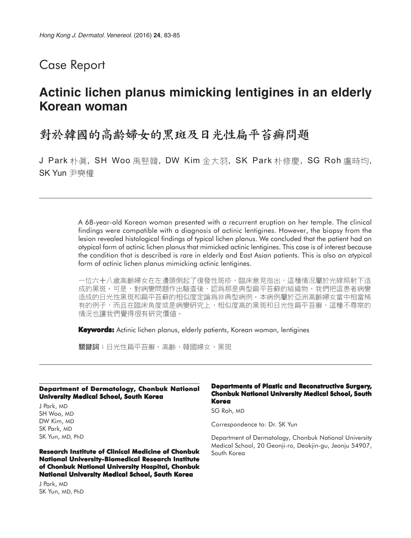# Case Report

# **Actinic lichen planus mimicking lentigines in an elderly Korean woman**

## 對於韓國的高齡婦女的黑斑及日光性扁平苔癬問題

J Park 朴眞, SH Woo 禹竪韓, DW Kim 金大羽, SK Park 朴修慶, SG Roh 盧時均, SK Yun 尹奭權

> A 68-year-old Korean woman presented with a recurrent eruption on her temple. The clinical findings were compatible with a diagnosis of actinic lentigines. However, the biopsy from the lesion revealed histological findings of typical lichen planus. We concluded that the patient had an atypical form of actinic lichen planus that mimicked actinic lentigines. This case is of interest because the condition that is described is rare in elderly and East Asian patients. This is also an atypical form of actinic lichen planus mimicking actinic lentigines.

> 一位六十八歲高齡婦女在左邊頭側起了復發性斑疹,臨床意見指出,這種情況屬於光線照射下造 成的黑斑。可是,對病變問題作出驗查後,認爲那是典型扁平苔蘚的組織物。我們把這患者病變 造成的日光性黑斑和扁平苔蘚的相似度定論爲非典型病例。本病例屬於亞洲高齡婦女當中相當稀 有的例子,而且在臨床角度或是病變研究上,相似度高的黑斑和日光性扁平苔癬,這種不尋常的 情況也讓我們覺得很有硏究價值。

**Keywords:** Actinic lichen planus, elderly patients, Korean woman, lentigines

關鍵詞:日光性扁平苔癬、高齡、韓國婦女、黑斑

#### **Department of Dermatology, Chonbuk National University Medical School, South Korea**

J Park, MD SH Woo, MD DW Kim, MD SK Park, MD SK Yun, MD, PhD

#### **Research Institute of Clinical Medicine of Chonbuk National University-Biomedical Research Institute of Chonbuk National University Hospital, Chonbuk National University Medical School, South Korea**

J Park, MD SK Yun, MD, PhD

#### **Departments of Plastic and Reconstructive Surgery, Chonbuk National University Medical School, South Korea**

SG Roh, MD

Correspondence to: Dr. SK Yun

Department of Dermatology, Chonbuk National University Medical School, 20 Geonji-ro, Deokjin-gu, Jeonju 54907, South Korea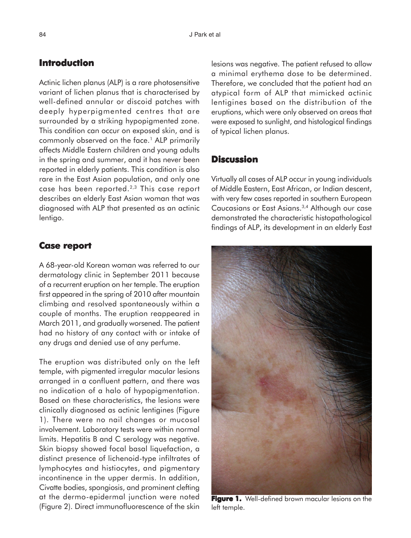## **Introduction**

Actinic lichen planus (ALP) is a rare photosensitive variant of lichen planus that is characterised by well-defined annular or discoid patches with deeply hyperpigmented centres that are surrounded by a striking hypopigmented zone. This condition can occur on exposed skin, and is commonly observed on the face.<sup>1</sup> ALP primarily affects Middle Eastern children and young adults in the spring and summer, and it has never been reported in elderly patients. This condition is also rare in the East Asian population, and only one case has been reported.2,3 This case report describes an elderly East Asian woman that was diagnosed with ALP that presented as an actinic lentigo.

### **Case report report**

A 68-year-old Korean woman was referred to our dermatology clinic in September 2011 because of a recurrent eruption on her temple. The eruption first appeared in the spring of 2010 after mountain climbing and resolved spontaneously within a couple of months. The eruption reappeared in March 2011, and gradually worsened. The patient had no history of any contact with or intake of any drugs and denied use of any perfume.

The eruption was distributed only on the left temple, with pigmented irregular macular lesions arranged in a confluent pattern, and there was no indication of a halo of hypopigmentation. Based on these characteristics, the lesions were clinically diagnosed as actinic lentigines (Figure 1). There were no nail changes or mucosal involvement. Laboratory tests were within normal limits. Hepatitis B and C serology was negative. Skin biopsy showed focal basal liquefaction, a distinct presence of lichenoid-type infiltrates of lymphocytes and histiocytes, and pigmentary incontinence in the upper dermis. In addition, Civatte bodies, spongiosis, and prominent clefting at the dermo-epidermal junction were noted (Figure 2). Direct immunofluorescence of the skin

lesions was negative. The patient refused to allow a minimal erythema dose to be determined. Therefore, we concluded that the patient had an atypical form of ALP that mimicked actinic lentigines based on the distribution of the eruptions, which were only observed on areas that were exposed to sunlight, and histological findings of typical lichen planus.

### **Discussion**

Virtually all cases of ALP occur in young individuals of Middle Eastern, East African, or Indian descent, with very few cases reported in southern European Caucasians or East Asians.3,4 Although our case demonstrated the characteristic histopathological findings of ALP, its development in an elderly East



**Figure 1.** Well-defined brown macular lesions on the left temple.